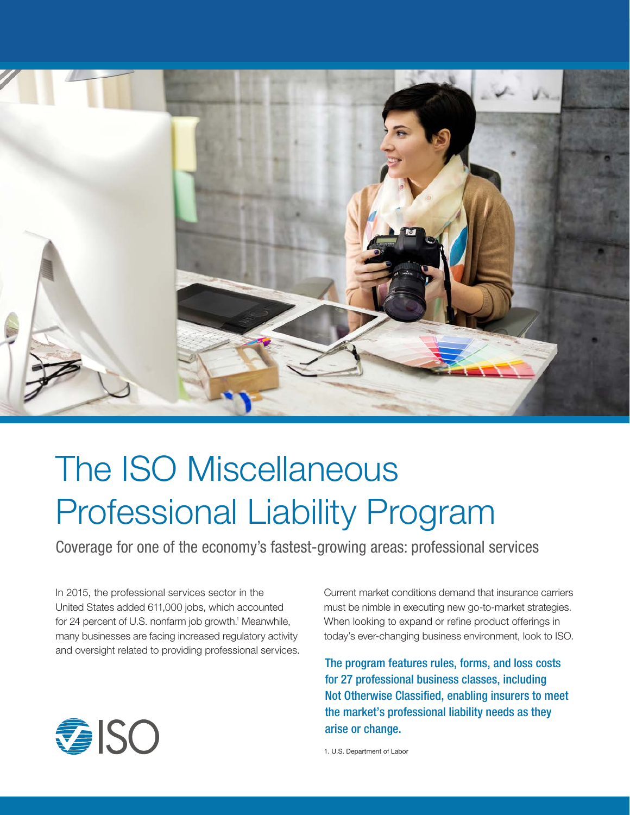

## The ISO Miscellaneous Professional Liability Program

Coverage for one of the economy's fastest-growing areas: professional services

In 2015, the professional services sector in the United States added 611,000 jobs, which accounted for 24 percent of U.S. nonfarm job growth.<sup>1</sup> Meanwhile, many businesses are facing increased regulatory activity and oversight related to providing professional services. Current market conditions demand that insurance carriers must be nimble in executing new go-to-market strategies. When looking to expand or refine product offerings in today's ever-changing business environment, look to ISO.

The program features rules, forms, and loss costs for 27 professional business classes, including Not Otherwise Classified, enabling insurers to meet the market's professional liability needs as they arise or change.

1. U.S. Department of Labor